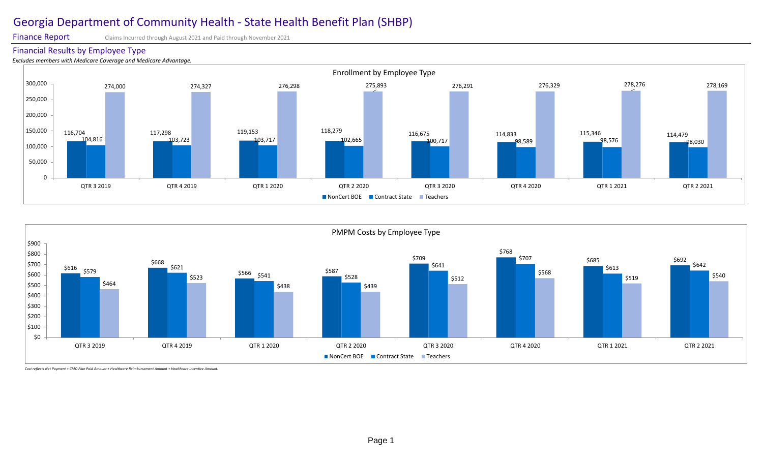Finance Report Claims Incurred through August 2021 and Paid through November 2021

### Financial Results by Employee Type

*Excludes members with Medicare Coverage and Medicare Advantage.* 



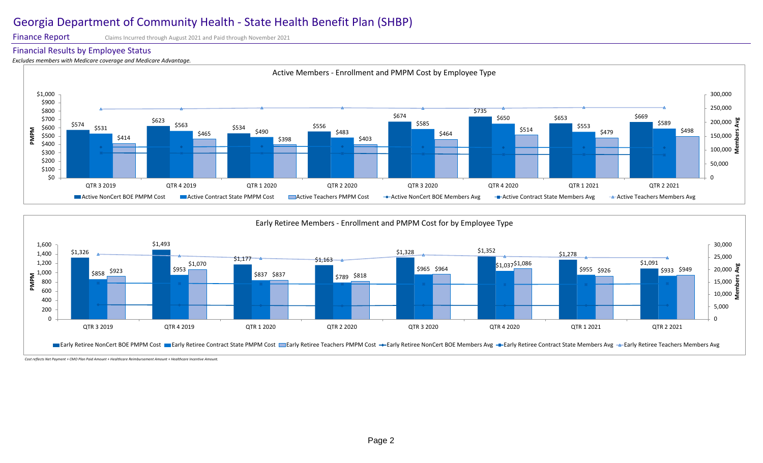Finance Report Claims Incurred through August 2021 and Paid through November 2021

#### Financial Results by Employee Status

*Excludes members with Medicare coverage and Medicare Advantage.* 



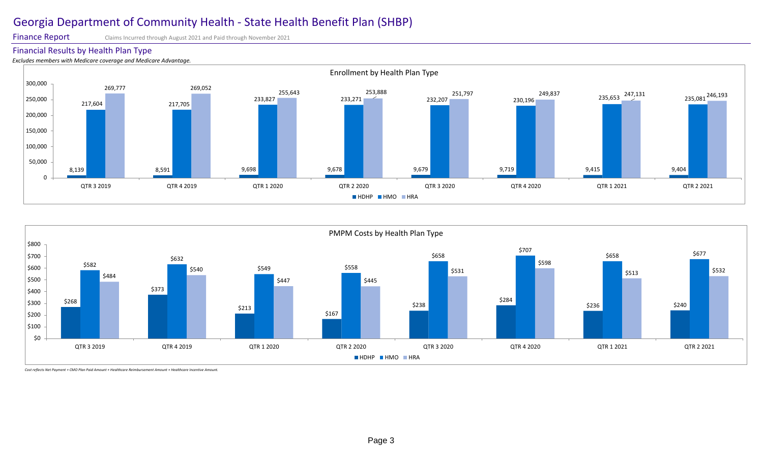Finance Report Claims Incurred through August 2021 and Paid through November 2021

### Financial Results by Health Plan Type

*Excludes members with Medicare coverage and Medicare Advantage.*